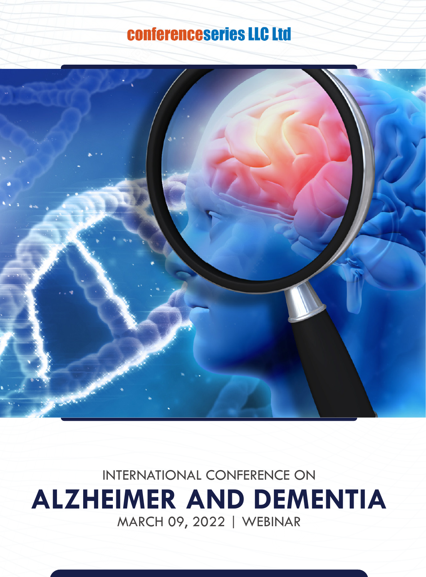# conferenceseries LLC Ltd



INTERNATIONAL CONFERENCE ON **ALZHEIMER AND DEMENTIA**  MARCH 09, 2022 | WEBINAR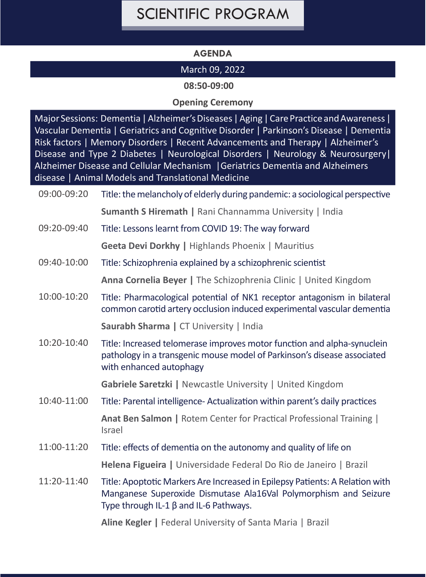## SCIENTIFIC PROGRAM

### **AGENDA**

### March 09, 2022

**08:50-09:00**

#### **Opening Ceremony**

Major Sessions: Dementia | Alzheimer's Diseases | Aging | Care Practice and Awareness | Vascular Dementia | Geriatrics and Cognitive Disorder | Parkinson's Disease | Dementia Risk factors | Memory Disorders | Recent Advancements and Therapy | Alzheimer's Disease and Type 2 Diabetes | Neurological Disorders | Neurology & Neurosurgery | Alzheimer Disease and Cellular Mechanism |Geriatrics Dementia and Alzheimers disease | Animal Models and Translational Medicine

09:00-09:20 Title: the melancholy of elderly during pandemic: a sociological perspective **Sumanth S Hiremath |** Rani Channamma University | India

09:20-09:40 Title: Lessons learnt from COVID 19: The way forward

**Geeta Devi Dorkhy |** Highlands Phoenix | Mauritius

- 09:40-10:00 Title: Schizophrenia explained by a schizophrenic scientist **Anna Cornelia Beyer |** The Schizophrenia Clinic | United Kingdom
- 10:00-10:20 Title: Pharmacological potential of NK1 receptor antagonism in bilateral common carotid artery occlusion induced experimental vascular dementia

**Saurabh Sharma |** CT University | India

10:20-10:40 Title: Increased telomerase improves motor function and alpha-synuclein pathology in a transgenic mouse model of Parkinson's disease associated with enhanced autophagy

**Gabriele Saretzki |** Newcastle University | United Kingdom

10:40-11:00 Title: Parental intelligence- Actualization within parent's daily practices

**Anat Ben Salmon |** Rotem Center for Practical Professional Training | Israel

- 11:00-11:20 Title: effects of dementia on the autonomy and quality of life on **Helena Figueira |** Universidade Federal Do Rio de Janeiro | Brazil
- 11:20-11:40 Title: Apoptotic Markers Are Increased in Epilepsy Patients: A Relation with Manganese Superoxide Dismutase Ala16Val Polymorphism and Seizure Type through IL-1 β and IL-6 Pathways.

**Aline Kegler |** Federal University of Santa Maria | Brazil